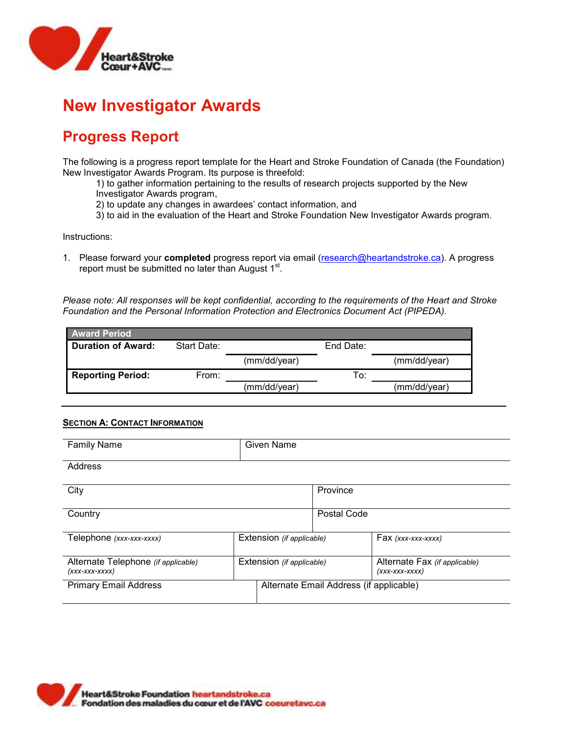

## **Progress Report**

The following is a progress report template for the Heart and Stroke Foundation of Canada (the Foundation) New Investigator Awards Program. Its purpose is threefold:

1) to gather information pertaining to the results of research projects supported by the New Investigator Awards program,

- 2) to update any changes in awardees' contact information, and
- 3) to aid in the evaluation of the Heart and Stroke Foundation New Investigator Awards program.

Instructions:

1. Please forward your **completed** progress report via email [\(research@heartandstroke.ca\)](mailto:research@heartandstroke.ca). A progress report must be submitted no later than August 1<sup>st</sup>.

*Please note: All responses will be kept confidential, according to the requirements of the Heart and Stroke Foundation and the Personal Information Protection and Electronics Document Act (PIPEDA).*

| <b>Award Period</b>       |             |              |           |              |
|---------------------------|-------------|--------------|-----------|--------------|
| <b>Duration of Award:</b> | Start Date: |              | End Date: |              |
|                           |             | (mm/dd/year) |           | (mm/dd/year) |
| <b>Reporting Period:</b>  | From:       |              | To:       |              |
|                           |             | (mm/dd/year) |           | (mm/dd/year) |

#### **SECTION A: CONTACT INFORMATION**

| <b>Family Name</b>                                      | Given Name                |                                         |                                                   |
|---------------------------------------------------------|---------------------------|-----------------------------------------|---------------------------------------------------|
| Address                                                 |                           |                                         |                                                   |
| City                                                    |                           | Province                                |                                                   |
| Country                                                 |                           | Postal Code                             |                                                   |
| Telephone (xxx-xxx-xxxx)                                | Extension (if applicable) |                                         | $Fax$ (xxx-xxx-xxxx)                              |
| Alternate Telephone (if applicable)<br>$(xxx-xxx-xxxx)$ | Extension (if applicable) |                                         | Alternate Fax (if applicable)<br>$(xxx-xxx-xxxx)$ |
| <b>Primary Email Address</b>                            |                           | Alternate Email Address (if applicable) |                                                   |

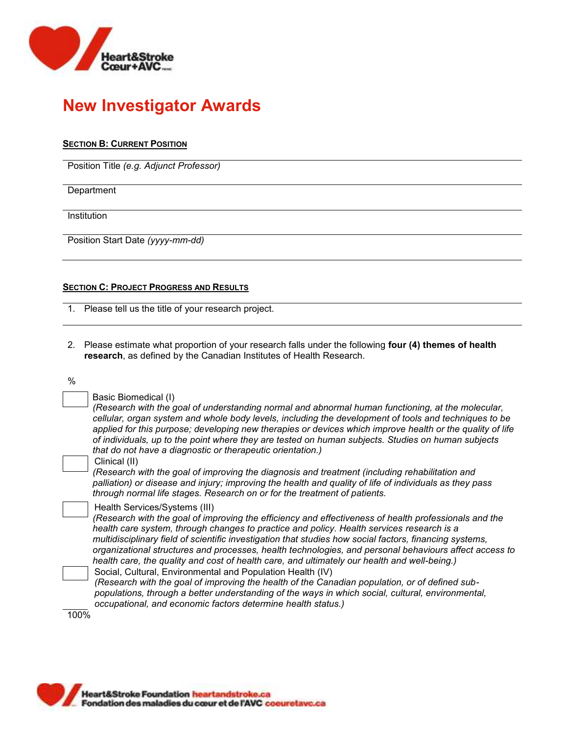

### **SECTION B: CURRENT POSITION**

Position Title *(e.g. Adjunct Professor)*

**Department** 

Institution

Position Start Date *(yyyy-mm-dd)*

### **SECTION C: PROJECT PROGRESS AND RESULTS**

1. Please tell us the title of your research project.

2. Please estimate what proportion of your research falls under the following **four (4) themes of health research**, as defined by the Canadian Institutes of Health Research.

%

| Basic Biomedical (I) |  |
|----------------------|--|
|                      |  |

*(Research with the goal of understanding normal and abnormal human functioning, at the molecular, cellular, organ system and whole body levels, including the development of tools and techniques to be applied for this purpose; developing new therapies or devices which improve health or the quality of life of individuals, up to the point where they are tested on human subjects. Studies on human subjects that do not have a diagnostic or therapeutic orientation.)*

#### Clinical (II)

*(Research with the goal of improving the diagnosis and treatment (including rehabilitation and palliation) or disease and injury; improving the health and quality of life of individuals as they pass through normal life stages. Research on or for the treatment of patients.*

#### Health Services/Systems (III)

*(Research with the goal of improving the efficiency and effectiveness of health professionals and the health care system, through changes to practice and policy. Health services research is a multidisciplinary field of scientific investigation that studies how social factors, financing systems, organizational structures and processes, health technologies, and personal behaviours affect access to health care, the quality and cost of health care, and ultimately our health and well-being.)*

Social, Cultural, Environmental and Population Health (IV) *(Research with the goal of improving the health of the Canadian population, or of defined subpopulations, through a better understanding of the ways in which social, cultural, environmental, occupational, and economic factors determine health status.)*

100%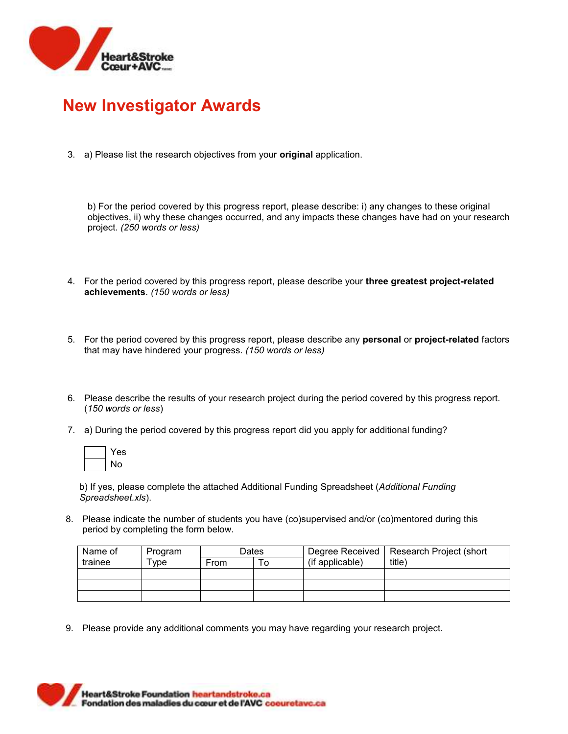

3. a) Please list the research objectives from your **original** application.

b) For the period covered by this progress report, please describe: i) any changes to these original objectives, ii) why these changes occurred, and any impacts these changes have had on your research project. *(250 words or less)*

- 4. For the period covered by this progress report, please describe your **three greatest project-related achievements**. *(150 words or less)*
- 5. For the period covered by this progress report, please describe any **personal** or **project-related** factors that may have hindered your progress. *(150 words or less)*
- 6. Please describe the results of your research project during the period covered by this progress report. (*150 words or less*)
- 7. a) During the period covered by this progress report did you apply for additional funding?

| ÷<br>e |
|--------|
| N۸     |

b) If yes, please complete the attached Additional Funding Spreadsheet (*Additional Funding Spreadsheet.xls*).

8. Please indicate the number of students you have (co)supervised and/or (co)mentored during this period by completing the form below.

| Name of | Program | <b>Dates</b> |  | Degree Received | Research Project (short |  |  |
|---------|---------|--------------|--|-----------------|-------------------------|--|--|
| trainee | ™vpe    | From<br>O    |  | (if applicable) | title)                  |  |  |
|         |         |              |  |                 |                         |  |  |
|         |         |              |  |                 |                         |  |  |
|         |         |              |  |                 |                         |  |  |

9. Please provide any additional comments you may have regarding your research project.

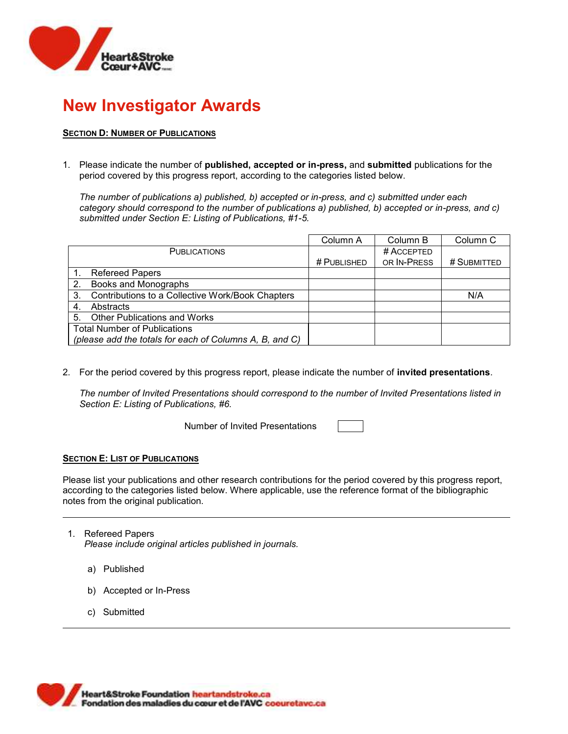

## **SECTION D: NUMBER OF PUBLICATIONS**

1. Please indicate the number of **published, accepted or in-press,** and **submitted** publications for the period covered by this progress report, according to the categories listed below.

*The number of publications a) published, b) accepted or in-press, and c) submitted under each category should correspond to the number of publications a) published, b) accepted or in-press, and c) submitted under Section E: Listing of Publications, #1-5.*

|                                     |                                                         | Column A    | Column B    | Column <sub>C</sub> |
|-------------------------------------|---------------------------------------------------------|-------------|-------------|---------------------|
|                                     | <b>PUBLICATIONS</b>                                     |             | # ACCEPTED  |                     |
|                                     |                                                         | # PUBLISHED | OR IN-PRESS | # SUBMITTED         |
|                                     | <b>Refereed Papers</b>                                  |             |             |                     |
| 2.                                  | Books and Monographs                                    |             |             |                     |
| 3.                                  | Contributions to a Collective Work/Book Chapters        |             |             | N/A                 |
| Abstracts<br>4.                     |                                                         |             |             |                     |
| 5.                                  | <b>Other Publications and Works</b>                     |             |             |                     |
| <b>Total Number of Publications</b> |                                                         |             |             |                     |
|                                     | (please add the totals for each of Columns A, B, and C) |             |             |                     |

2. For the period covered by this progress report, please indicate the number of **invited presentations**.

*The number of Invited Presentations should correspond to the number of Invited Presentations listed in Section E: Listing of Publications, #6.* 

Number of Invited Presentations

#### **SECTION E: LIST OF PUBLICATIONS**

Please list your publications and other research contributions for the period covered by this progress report, according to the categories listed below. Where applicable, use the reference format of the bibliographic notes from the original publication.

- 1. Refereed Papers *Please include original articles published in journals.*
	- a) Published
	- b) Accepted or In-Press
	- c) Submitted

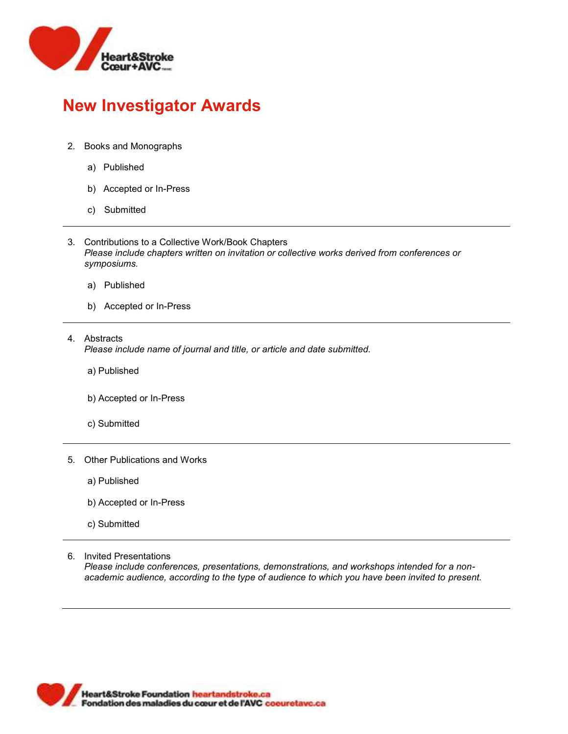

- 2. Books and Monographs
	- a) Published
	- b) Accepted or In-Press
	- c) Submitted
- 3. Contributions to a Collective Work/Book Chapters *Please include chapters written on invitation or collective works derived from conferences or symposiums.*
	- a) Published
	- b) Accepted or In-Press
- 4. Abstracts *Please include name of journal and title, or article and date submitted.*
	- a) Published
	- b) Accepted or In-Press
	- c) Submitted
- 5. Other Publications and Works
	- a) Published
	- b) Accepted or In-Press
	- c) Submitted
- 6. Invited Presentations

*Please include conferences, presentations, demonstrations, and workshops intended for a nonacademic audience, according to the type of audience to which you have been invited to present.*

**Heart&Stroke Foundation heartandstroke.ca** Fondation des maladies du cœur et de l'AVC coeuretave.ca